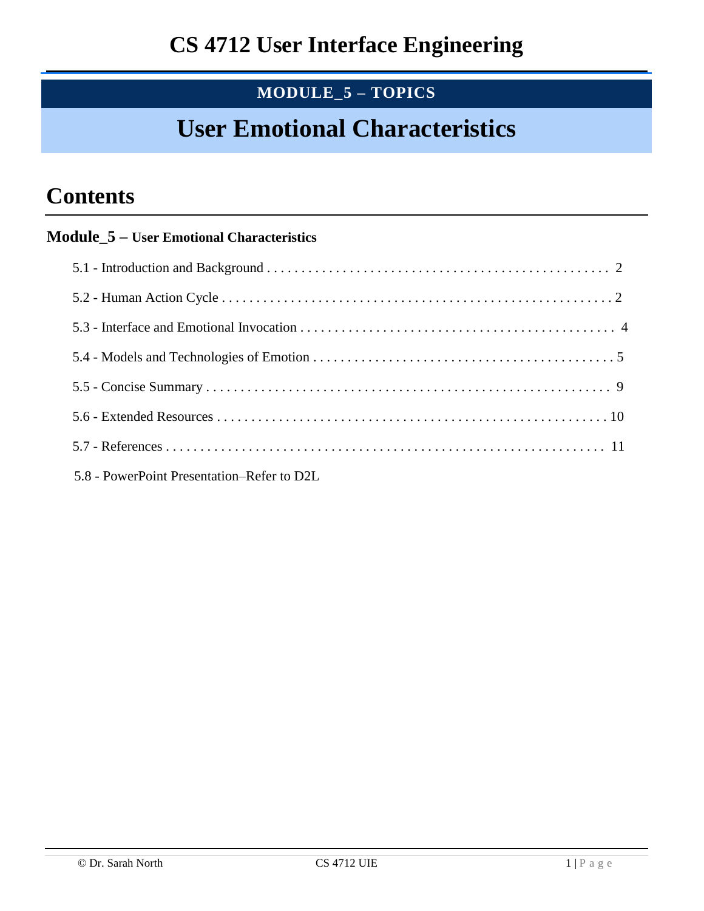## **MODULE\_5 – TOPICS**

# **User Emotional Characteristics**

## **Contents**

### **Module\_5 – User Emotional Characteristics**

| 5.8 - PowerPoint Presentation–Refer to D2L |  |
|--------------------------------------------|--|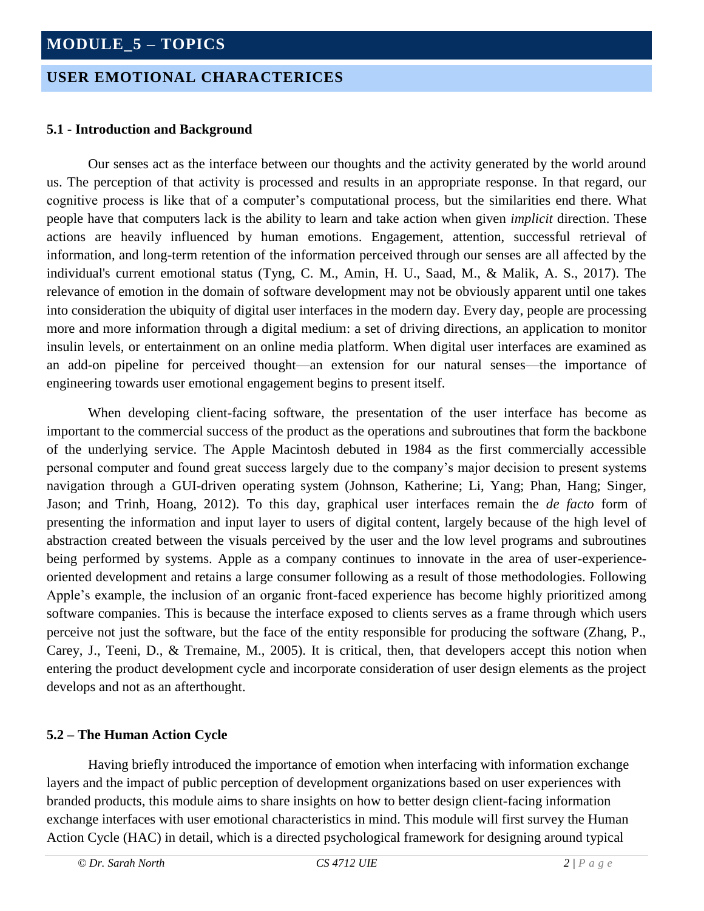### **USER EMOTIONAL CHARACTERICES**

#### **5.1 - Introduction and Background**

Our senses act as the interface between our thoughts and the activity generated by the world around us. The perception of that activity is processed and results in an appropriate response. In that regard, our cognitive process is like that of a computer's computational process, but the similarities end there. What people have that computers lack is the ability to learn and take action when given *implicit* direction. These actions are heavily influenced by human emotions. Engagement, attention, successful retrieval of information, and long-term retention of the information perceived through our senses are all affected by the individual's current emotional status (Tyng, C. M., Amin, H. U., Saad, M., & Malik, A. S., 2017). The relevance of emotion in the domain of software development may not be obviously apparent until one takes into consideration the ubiquity of digital user interfaces in the modern day. Every day, people are processing more and more information through a digital medium: a set of driving directions, an application to monitor insulin levels, or entertainment on an online media platform. When digital user interfaces are examined as an add-on pipeline for perceived thought—an extension for our natural senses—the importance of engineering towards user emotional engagement begins to present itself.

When developing client-facing software, the presentation of the user interface has become as important to the commercial success of the product as the operations and subroutines that form the backbone of the underlying service. The Apple Macintosh debuted in 1984 as the first commercially accessible personal computer and found great success largely due to the company's major decision to present systems navigation through a GUI-driven operating system (Johnson, Katherine; Li, Yang; Phan, Hang; Singer, Jason; and Trinh, Hoang, 2012). To this day, graphical user interfaces remain the *de facto* form of presenting the information and input layer to users of digital content, largely because of the high level of abstraction created between the visuals perceived by the user and the low level programs and subroutines being performed by systems. Apple as a company continues to innovate in the area of user-experienceoriented development and retains a large consumer following as a result of those methodologies. Following Apple's example, the inclusion of an organic front-faced experience has become highly prioritized among software companies. This is because the interface exposed to clients serves as a frame through which users perceive not just the software, but the face of the entity responsible for producing the software (Zhang, P., Carey, J., Teeni, D., & Tremaine, M., 2005). It is critical, then, that developers accept this notion when entering the product development cycle and incorporate consideration of user design elements as the project develops and not as an afterthought.

#### **5.2 – The Human Action Cycle**

Having briefly introduced the importance of emotion when interfacing with information exchange layers and the impact of public perception of development organizations based on user experiences with branded products, this module aims to share insights on how to better design client-facing information exchange interfaces with user emotional characteristics in mind. This module will first survey the Human Action Cycle (HAC) in detail, which is a directed psychological framework for designing around typical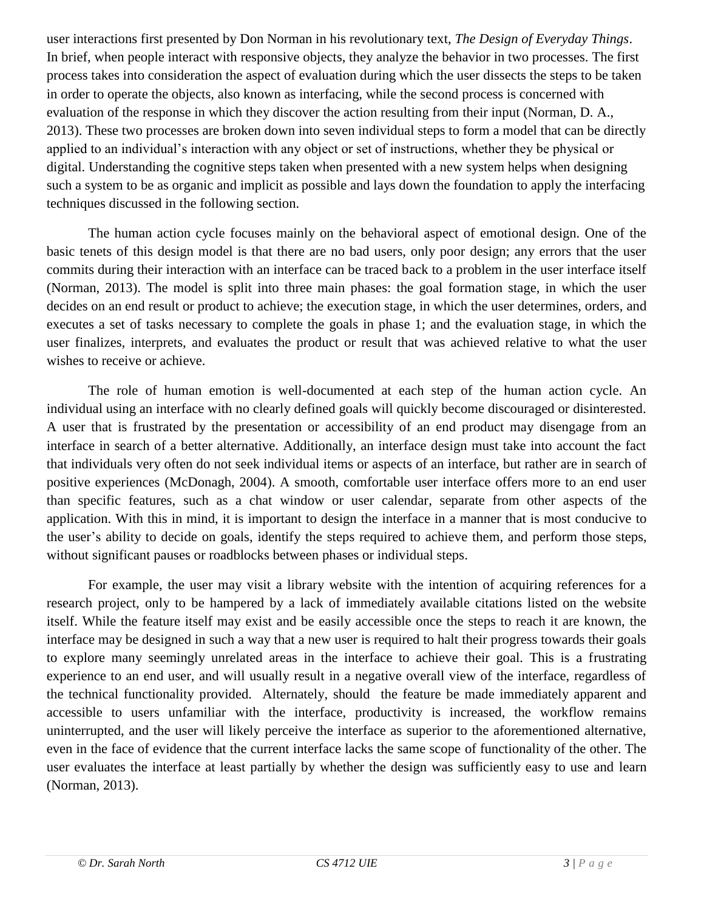user interactions first presented by Don Norman in his revolutionary text, *The Design of Everyday Things*. In brief, when people interact with responsive objects, they analyze the behavior in two processes. The first process takes into consideration the aspect of evaluation during which the user dissects the steps to be taken in order to operate the objects, also known as interfacing, while the second process is concerned with evaluation of the response in which they discover the action resulting from their input (Norman, D. A., 2013). These two processes are broken down into seven individual steps to form a model that can be directly applied to an individual's interaction with any object or set of instructions, whether they be physical or digital. Understanding the cognitive steps taken when presented with a new system helps when designing such a system to be as organic and implicit as possible and lays down the foundation to apply the interfacing techniques discussed in the following section.

The human action cycle focuses mainly on the behavioral aspect of emotional design. One of the basic tenets of this design model is that there are no bad users, only poor design; any errors that the user commits during their interaction with an interface can be traced back to a problem in the user interface itself (Norman, 2013). The model is split into three main phases: the goal formation stage, in which the user decides on an end result or product to achieve; the execution stage, in which the user determines, orders, and executes a set of tasks necessary to complete the goals in phase 1; and the evaluation stage, in which the user finalizes, interprets, and evaluates the product or result that was achieved relative to what the user wishes to receive or achieve.

The role of human emotion is well-documented at each step of the human action cycle. An individual using an interface with no clearly defined goals will quickly become discouraged or disinterested. A user that is frustrated by the presentation or accessibility of an end product may disengage from an interface in search of a better alternative. Additionally, an interface design must take into account the fact that individuals very often do not seek individual items or aspects of an interface, but rather are in search of positive experiences (McDonagh, 2004). A smooth, comfortable user interface offers more to an end user than specific features, such as a chat window or user calendar, separate from other aspects of the application. With this in mind, it is important to design the interface in a manner that is most conducive to the user's ability to decide on goals, identify the steps required to achieve them, and perform those steps, without significant pauses or roadblocks between phases or individual steps.

For example, the user may visit a library website with the intention of acquiring references for a research project, only to be hampered by a lack of immediately available citations listed on the website itself. While the feature itself may exist and be easily accessible once the steps to reach it are known, the interface may be designed in such a way that a new user is required to halt their progress towards their goals to explore many seemingly unrelated areas in the interface to achieve their goal. This is a frustrating experience to an end user, and will usually result in a negative overall view of the interface, regardless of the technical functionality provided. Alternately, should the feature be made immediately apparent and accessible to users unfamiliar with the interface, productivity is increased, the workflow remains uninterrupted, and the user will likely perceive the interface as superior to the aforementioned alternative, even in the face of evidence that the current interface lacks the same scope of functionality of the other. The user evaluates the interface at least partially by whether the design was sufficiently easy to use and learn (Norman, 2013).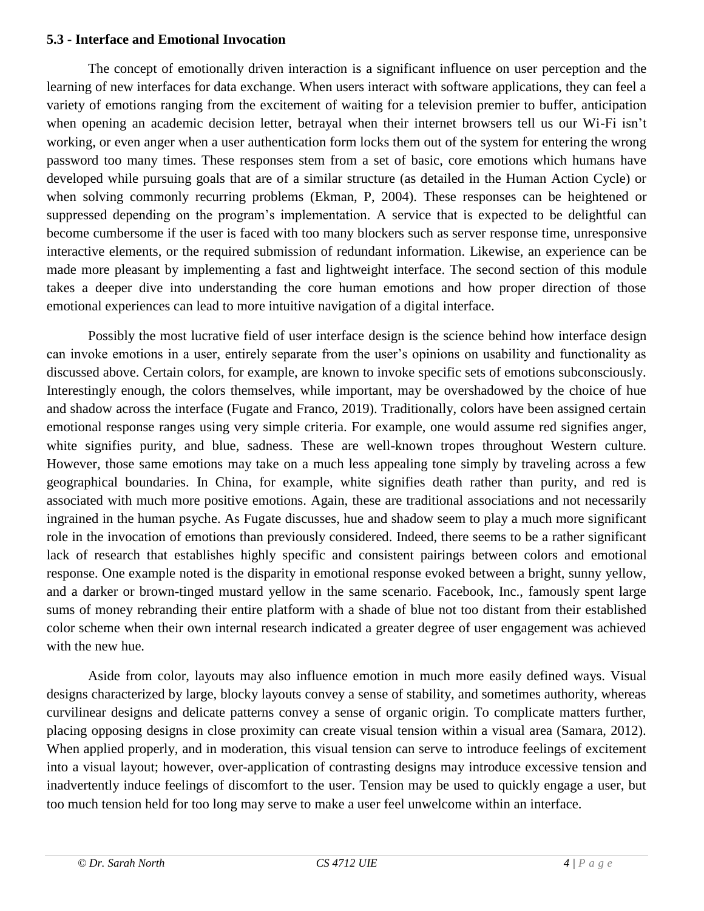#### **5.3 - Interface and Emotional Invocation**

The concept of emotionally driven interaction is a significant influence on user perception and the learning of new interfaces for data exchange. When users interact with software applications, they can feel a variety of emotions ranging from the excitement of waiting for a television premier to buffer, anticipation when opening an academic decision letter, betrayal when their internet browsers tell us our Wi-Fi isn't working, or even anger when a user authentication form locks them out of the system for entering the wrong password too many times. These responses stem from a set of basic, core emotions which humans have developed while pursuing goals that are of a similar structure (as detailed in the Human Action Cycle) or when solving commonly recurring problems (Ekman, P, 2004). These responses can be heightened or suppressed depending on the program's implementation. A service that is expected to be delightful can become cumbersome if the user is faced with too many blockers such as server response time, unresponsive interactive elements, or the required submission of redundant information. Likewise, an experience can be made more pleasant by implementing a fast and lightweight interface. The second section of this module takes a deeper dive into understanding the core human emotions and how proper direction of those emotional experiences can lead to more intuitive navigation of a digital interface.

Possibly the most lucrative field of user interface design is the science behind how interface design can invoke emotions in a user, entirely separate from the user's opinions on usability and functionality as discussed above. Certain colors, for example, are known to invoke specific sets of emotions subconsciously. Interestingly enough, the colors themselves, while important, may be overshadowed by the choice of hue and shadow across the interface (Fugate and Franco, 2019). Traditionally, colors have been assigned certain emotional response ranges using very simple criteria. For example, one would assume red signifies anger, white signifies purity, and blue, sadness. These are well-known tropes throughout Western culture. However, those same emotions may take on a much less appealing tone simply by traveling across a few geographical boundaries. In China, for example, white signifies death rather than purity, and red is associated with much more positive emotions. Again, these are traditional associations and not necessarily ingrained in the human psyche. As Fugate discusses, hue and shadow seem to play a much more significant role in the invocation of emotions than previously considered. Indeed, there seems to be a rather significant lack of research that establishes highly specific and consistent pairings between colors and emotional response. One example noted is the disparity in emotional response evoked between a bright, sunny yellow, and a darker or brown-tinged mustard yellow in the same scenario. Facebook, Inc., famously spent large sums of money rebranding their entire platform with a shade of blue not too distant from their established color scheme when their own internal research indicated a greater degree of user engagement was achieved with the new hue.

Aside from color, layouts may also influence emotion in much more easily defined ways. Visual designs characterized by large, blocky layouts convey a sense of stability, and sometimes authority, whereas curvilinear designs and delicate patterns convey a sense of organic origin. To complicate matters further, placing opposing designs in close proximity can create visual tension within a visual area (Samara, 2012). When applied properly, and in moderation, this visual tension can serve to introduce feelings of excitement into a visual layout; however, over-application of contrasting designs may introduce excessive tension and inadvertently induce feelings of discomfort to the user. Tension may be used to quickly engage a user, but too much tension held for too long may serve to make a user feel unwelcome within an interface.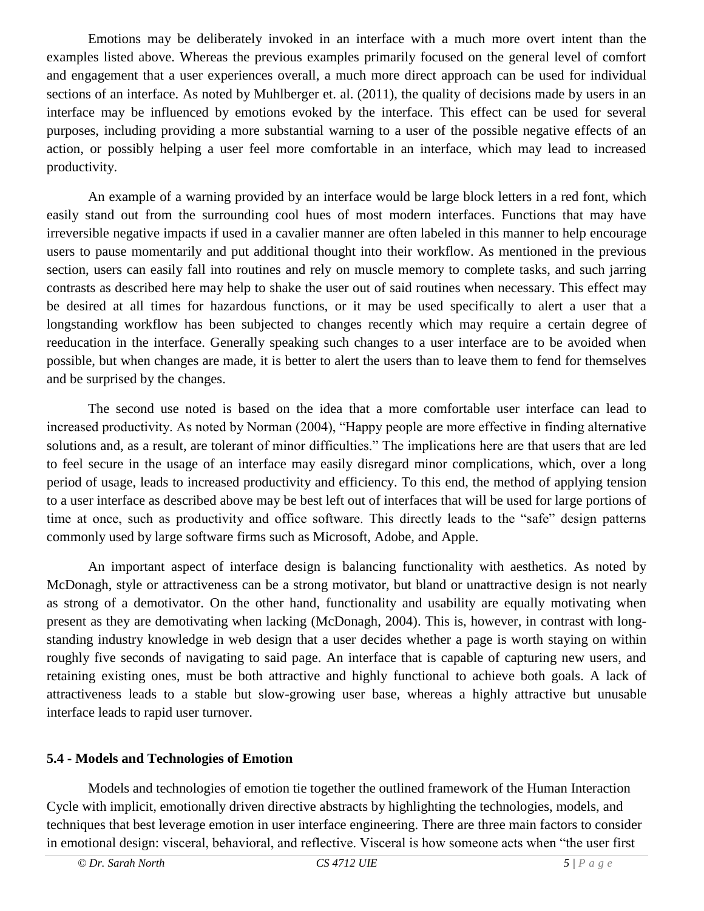Emotions may be deliberately invoked in an interface with a much more overt intent than the examples listed above. Whereas the previous examples primarily focused on the general level of comfort and engagement that a user experiences overall, a much more direct approach can be used for individual sections of an interface. As noted by Muhlberger et. al. (2011), the quality of decisions made by users in an interface may be influenced by emotions evoked by the interface. This effect can be used for several purposes, including providing a more substantial warning to a user of the possible negative effects of an action, or possibly helping a user feel more comfortable in an interface, which may lead to increased productivity.

An example of a warning provided by an interface would be large block letters in a red font, which easily stand out from the surrounding cool hues of most modern interfaces. Functions that may have irreversible negative impacts if used in a cavalier manner are often labeled in this manner to help encourage users to pause momentarily and put additional thought into their workflow. As mentioned in the previous section, users can easily fall into routines and rely on muscle memory to complete tasks, and such jarring contrasts as described here may help to shake the user out of said routines when necessary. This effect may be desired at all times for hazardous functions, or it may be used specifically to alert a user that a longstanding workflow has been subjected to changes recently which may require a certain degree of reeducation in the interface. Generally speaking such changes to a user interface are to be avoided when possible, but when changes are made, it is better to alert the users than to leave them to fend for themselves and be surprised by the changes.

The second use noted is based on the idea that a more comfortable user interface can lead to increased productivity. As noted by Norman (2004), "Happy people are more effective in finding alternative solutions and, as a result, are tolerant of minor difficulties." The implications here are that users that are led to feel secure in the usage of an interface may easily disregard minor complications, which, over a long period of usage, leads to increased productivity and efficiency. To this end, the method of applying tension to a user interface as described above may be best left out of interfaces that will be used for large portions of time at once, such as productivity and office software. This directly leads to the "safe" design patterns commonly used by large software firms such as Microsoft, Adobe, and Apple.

An important aspect of interface design is balancing functionality with aesthetics. As noted by McDonagh, style or attractiveness can be a strong motivator, but bland or unattractive design is not nearly as strong of a demotivator. On the other hand, functionality and usability are equally motivating when present as they are demotivating when lacking (McDonagh, 2004). This is, however, in contrast with longstanding industry knowledge in web design that a user decides whether a page is worth staying on within roughly five seconds of navigating to said page. An interface that is capable of capturing new users, and retaining existing ones, must be both attractive and highly functional to achieve both goals. A lack of attractiveness leads to a stable but slow-growing user base, whereas a highly attractive but unusable interface leads to rapid user turnover.

#### **5.4 - Models and Technologies of Emotion**

 Models and technologies of emotion tie together the outlined framework of the Human Interaction Cycle with implicit, emotionally driven directive abstracts by highlighting the technologies, models, and techniques that best leverage emotion in user interface engineering. There are three main factors to consider in emotional design: visceral, behavioral, and reflective. Visceral is how someone acts when "the user first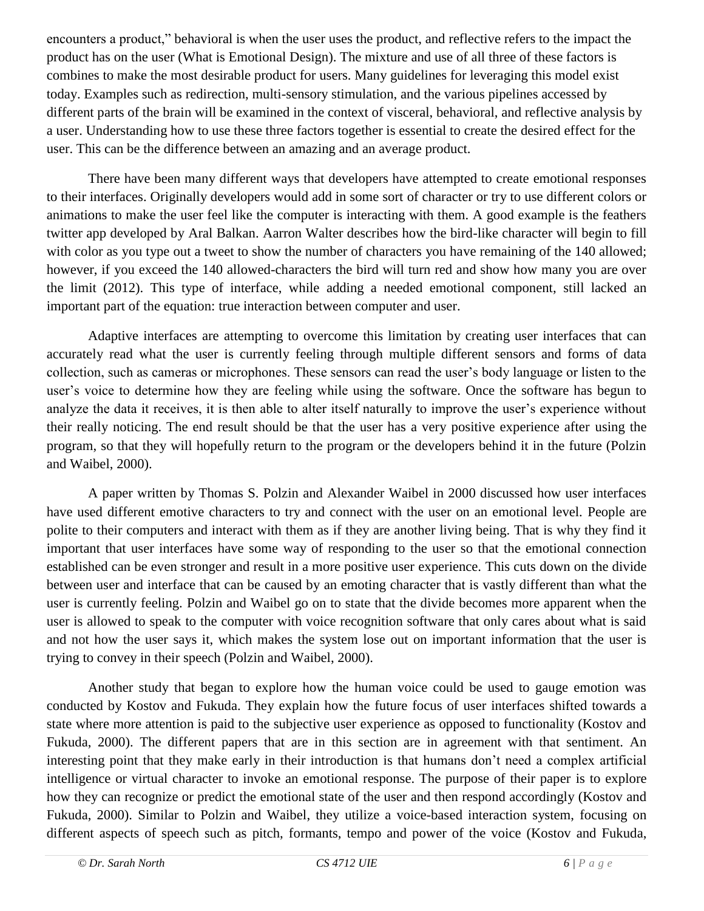encounters a product," behavioral is when the user uses the product, and reflective refers to the impact the product has on the user (What is Emotional Design). The mixture and use of all three of these factors is combines to make the most desirable product for users. Many guidelines for leveraging this model exist today. Examples such as redirection, multi-sensory stimulation, and the various pipelines accessed by different parts of the brain will be examined in the context of visceral, behavioral, and reflective analysis by a user. Understanding how to use these three factors together is essential to create the desired effect for the user. This can be the difference between an amazing and an average product.

There have been many different ways that developers have attempted to create emotional responses to their interfaces. Originally developers would add in some sort of character or try to use different colors or animations to make the user feel like the computer is interacting with them. A good example is the feathers twitter app developed by Aral Balkan. Aarron Walter describes how the bird-like character will begin to fill with color as you type out a tweet to show the number of characters you have remaining of the 140 allowed; however, if you exceed the 140 allowed-characters the bird will turn red and show how many you are over the limit (2012). This type of interface, while adding a needed emotional component, still lacked an important part of the equation: true interaction between computer and user.

Adaptive interfaces are attempting to overcome this limitation by creating user interfaces that can accurately read what the user is currently feeling through multiple different sensors and forms of data collection, such as cameras or microphones. These sensors can read the user's body language or listen to the user's voice to determine how they are feeling while using the software. Once the software has begun to analyze the data it receives, it is then able to alter itself naturally to improve the user's experience without their really noticing. The end result should be that the user has a very positive experience after using the program, so that they will hopefully return to the program or the developers behind it in the future (Polzin and Waibel, 2000).

A paper written by Thomas S. Polzin and Alexander Waibel in 2000 discussed how user interfaces have used different emotive characters to try and connect with the user on an emotional level. People are polite to their computers and interact with them as if they are another living being. That is why they find it important that user interfaces have some way of responding to the user so that the emotional connection established can be even stronger and result in a more positive user experience. This cuts down on the divide between user and interface that can be caused by an emoting character that is vastly different than what the user is currently feeling. Polzin and Waibel go on to state that the divide becomes more apparent when the user is allowed to speak to the computer with voice recognition software that only cares about what is said and not how the user says it, which makes the system lose out on important information that the user is trying to convey in their speech (Polzin and Waibel, 2000).

Another study that began to explore how the human voice could be used to gauge emotion was conducted by Kostov and Fukuda. They explain how the future focus of user interfaces shifted towards a state where more attention is paid to the subjective user experience as opposed to functionality (Kostov and Fukuda, 2000). The different papers that are in this section are in agreement with that sentiment. An interesting point that they make early in their introduction is that humans don't need a complex artificial intelligence or virtual character to invoke an emotional response. The purpose of their paper is to explore how they can recognize or predict the emotional state of the user and then respond accordingly (Kostov and Fukuda, 2000). Similar to Polzin and Waibel, they utilize a voice-based interaction system, focusing on different aspects of speech such as pitch, formants, tempo and power of the voice (Kostov and Fukuda,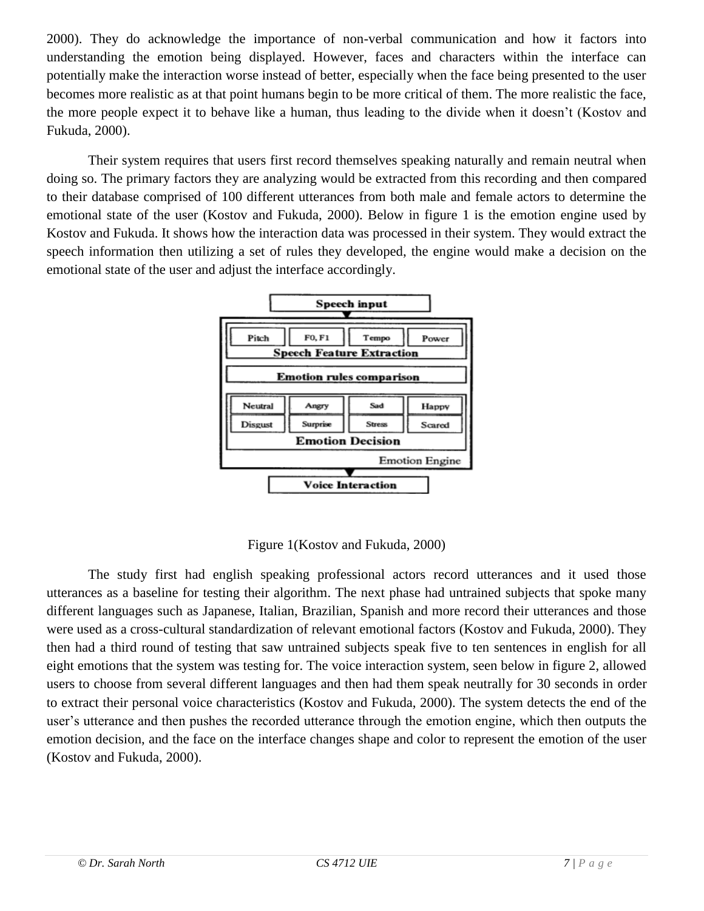2000). They do acknowledge the importance of non-verbal communication and how it factors into understanding the emotion being displayed. However, faces and characters within the interface can potentially make the interaction worse instead of better, especially when the face being presented to the user becomes more realistic as at that point humans begin to be more critical of them. The more realistic the face, the more people expect it to behave like a human, thus leading to the divide when it doesn't (Kostov and Fukuda, 2000).

Their system requires that users first record themselves speaking naturally and remain neutral when doing so. The primary factors they are analyzing would be extracted from this recording and then compared to their database comprised of 100 different utterances from both male and female actors to determine the emotional state of the user (Kostov and Fukuda, 2000). Below in figure 1 is the emotion engine used by Kostov and Fukuda. It shows how the interaction data was processed in their system. They would extract the speech information then utilizing a set of rules they developed, the engine would make a decision on the emotional state of the user and adjust the interface accordingly.



Figure 1(Kostov and Fukuda, 2000)

The study first had english speaking professional actors record utterances and it used those utterances as a baseline for testing their algorithm. The next phase had untrained subjects that spoke many different languages such as Japanese, Italian, Brazilian, Spanish and more record their utterances and those were used as a cross-cultural standardization of relevant emotional factors (Kostov and Fukuda, 2000). They then had a third round of testing that saw untrained subjects speak five to ten sentences in english for all eight emotions that the system was testing for. The voice interaction system, seen below in figure 2, allowed users to choose from several different languages and then had them speak neutrally for 30 seconds in order to extract their personal voice characteristics (Kostov and Fukuda, 2000). The system detects the end of the user's utterance and then pushes the recorded utterance through the emotion engine, which then outputs the emotion decision, and the face on the interface changes shape and color to represent the emotion of the user (Kostov and Fukuda, 2000).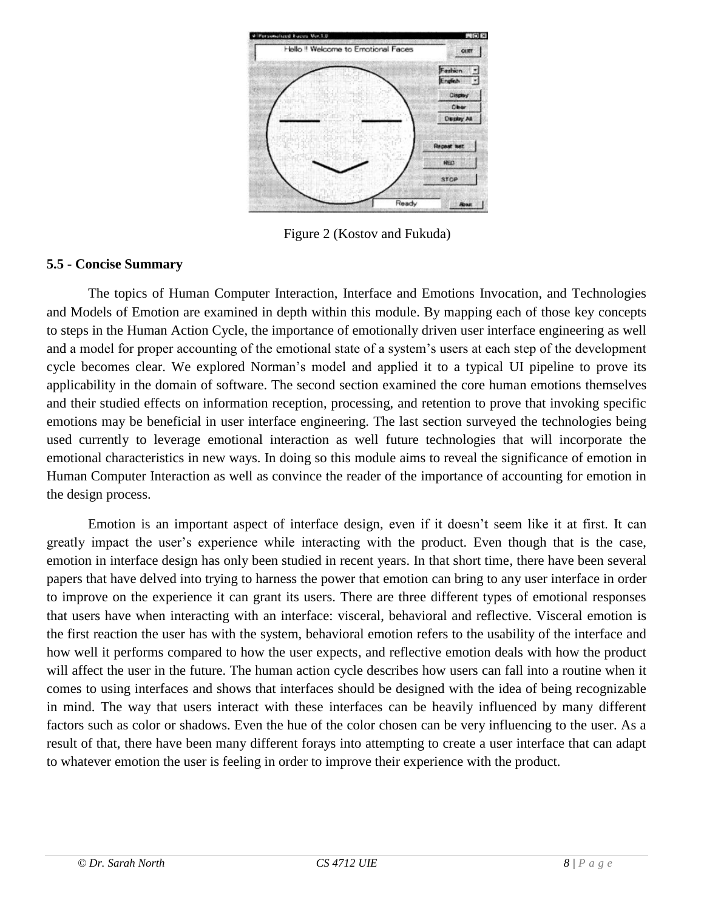

Figure 2 (Kostov and Fukuda)

#### **5.5 - Concise Summary**

The topics of Human Computer Interaction, Interface and Emotions Invocation, and Technologies and Models of Emotion are examined in depth within this module. By mapping each of those key concepts to steps in the Human Action Cycle, the importance of emotionally driven user interface engineering as well and a model for proper accounting of the emotional state of a system's users at each step of the development cycle becomes clear. We explored Norman's model and applied it to a typical UI pipeline to prove its applicability in the domain of software. The second section examined the core human emotions themselves and their studied effects on information reception, processing, and retention to prove that invoking specific emotions may be beneficial in user interface engineering. The last section surveyed the technologies being used currently to leverage emotional interaction as well future technologies that will incorporate the emotional characteristics in new ways. In doing so this module aims to reveal the significance of emotion in Human Computer Interaction as well as convince the reader of the importance of accounting for emotion in the design process.

Emotion is an important aspect of interface design, even if it doesn't seem like it at first. It can greatly impact the user's experience while interacting with the product. Even though that is the case, emotion in interface design has only been studied in recent years. In that short time, there have been several papers that have delved into trying to harness the power that emotion can bring to any user interface in order to improve on the experience it can grant its users. There are three different types of emotional responses that users have when interacting with an interface: visceral, behavioral and reflective. Visceral emotion is the first reaction the user has with the system, behavioral emotion refers to the usability of the interface and how well it performs compared to how the user expects, and reflective emotion deals with how the product will affect the user in the future. The human action cycle describes how users can fall into a routine when it comes to using interfaces and shows that interfaces should be designed with the idea of being recognizable in mind. The way that users interact with these interfaces can be heavily influenced by many different factors such as color or shadows. Even the hue of the color chosen can be very influencing to the user. As a result of that, there have been many different forays into attempting to create a user interface that can adapt to whatever emotion the user is feeling in order to improve their experience with the product.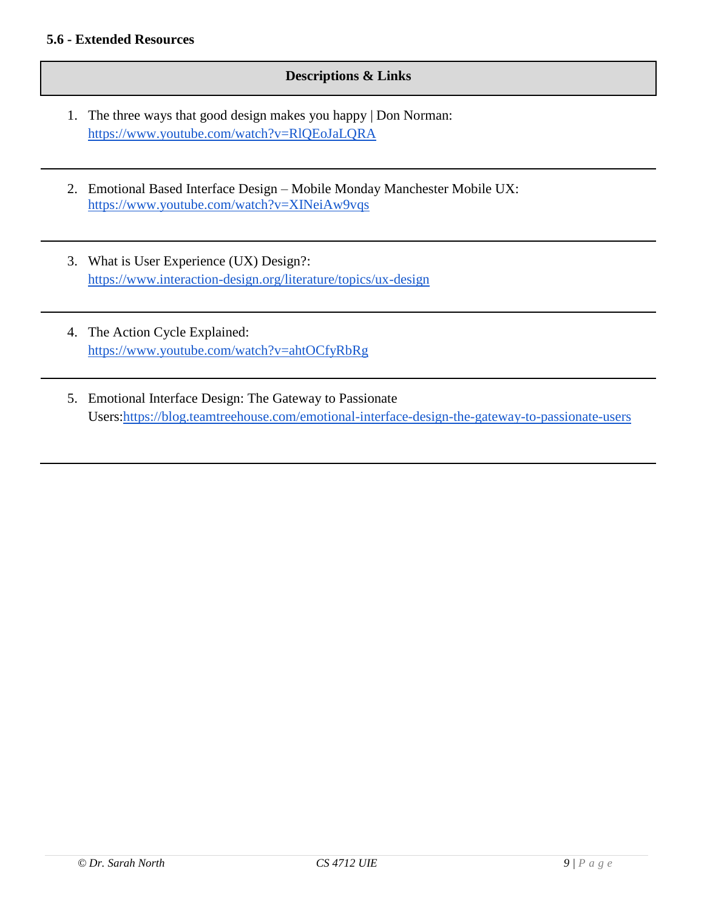#### **5.6 - Extended Resources**

#### **Descriptions & Links**

- 1. The three ways that good design makes you happy | Don Norman: <https://www.youtube.com/watch?v=RlQEoJaLQRA>
- 2. Emotional Based Interface Design Mobile Monday Manchester Mobile UX: <https://www.youtube.com/watch?v=XINeiAw9vqs>
- 3. What is User Experience (UX) Design?: <https://www.interaction-design.org/literature/topics/ux-design>
- 4. The Action Cycle Explained: <https://www.youtube.com/watch?v=ahtOCfyRbRg>
- 5. Emotional Interface Design: The Gateway to Passionate Users[:https://blog.teamtreehouse.com/emotional-interface-design-the-gateway-to-passionate-users](https://blog.teamtreehouse.com/emotional-interface-design-the-gateway-to-passionate-users)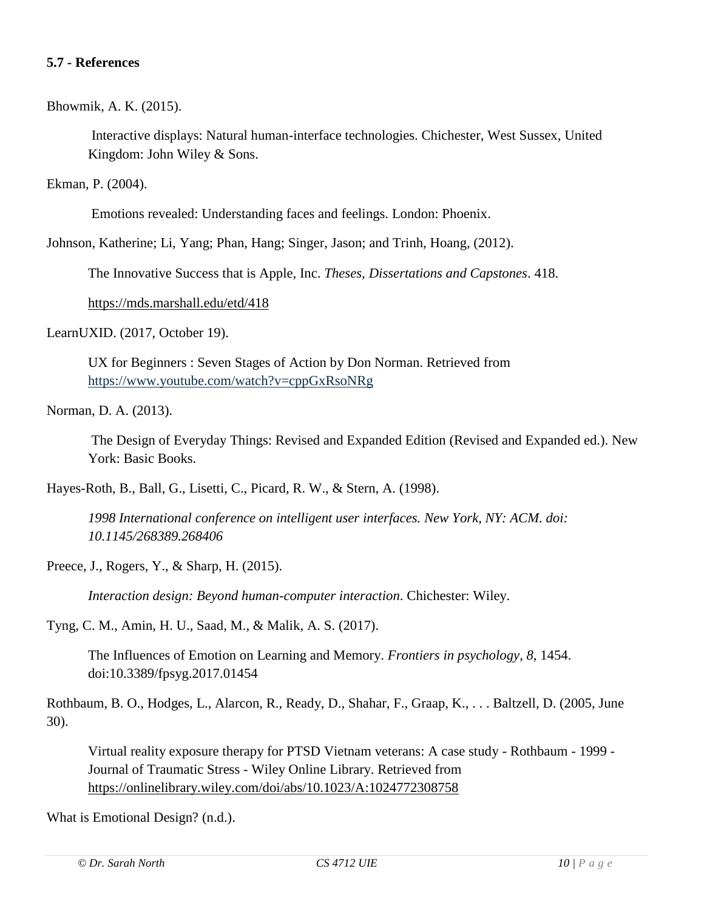#### **5.7 - References**

Bhowmik, A. K. (2015).

Interactive displays: Natural human-interface technologies. Chichester, West Sussex, United Kingdom: John Wiley & Sons.

Ekman, P. (2004).

Emotions revealed: Understanding faces and feelings. London: Phoenix.

Johnson, Katherine; Li, Yang; Phan, Hang; Singer, Jason; and Trinh, Hoang, (2012).

The Innovative Success that is Apple, Inc. *Theses, Dissertations and Capstones*. 418.

<https://mds.marshall.edu/etd/418>

LearnUXID. (2017, October 19).

UX for Beginners : Seven Stages of Action by Don Norman. Retrieved from <https://www.youtube.com/watch?v=cppGxRsoNRg>

Norman, D. A. (2013).

The Design of Everyday Things: Revised and Expanded Edition (Revised and Expanded ed.). New York: Basic Books.

Hayes-Roth, B., Ball, G., Lisetti, C., Picard, R. W., & Stern, A. (1998).

*1998 International conference on intelligent user interfaces. New York, NY: ACM. doi: 10.1145/268389.268406*

Preece, J., Rogers, Y., & Sharp, H. (2015).

*Interaction design: Beyond human-computer interaction*. Chichester: Wiley.

Tyng, C. M., Amin, H. U., Saad, M., & Malik, A. S. (2017).

The Influences of Emotion on Learning and Memory. *Frontiers in psychology*, *8*, 1454. doi:10.3389/fpsyg.2017.01454

Rothbaum, B. O., Hodges, L., Alarcon, R., Ready, D., Shahar, F., Graap, K., . . . Baltzell, D. (2005, June 30).

Virtual reality exposure therapy for PTSD Vietnam veterans: A case study - Rothbaum - 1999 - Journal of Traumatic Stress - Wiley Online Library. Retrieved fro[m](https://onlinelibrary.wiley.com/doi/abs/10.1023/A:1024772308758) <https://onlinelibrary.wiley.com/doi/abs/10.1023/A:1024772308758>

What is Emotional Design? (n.d.).